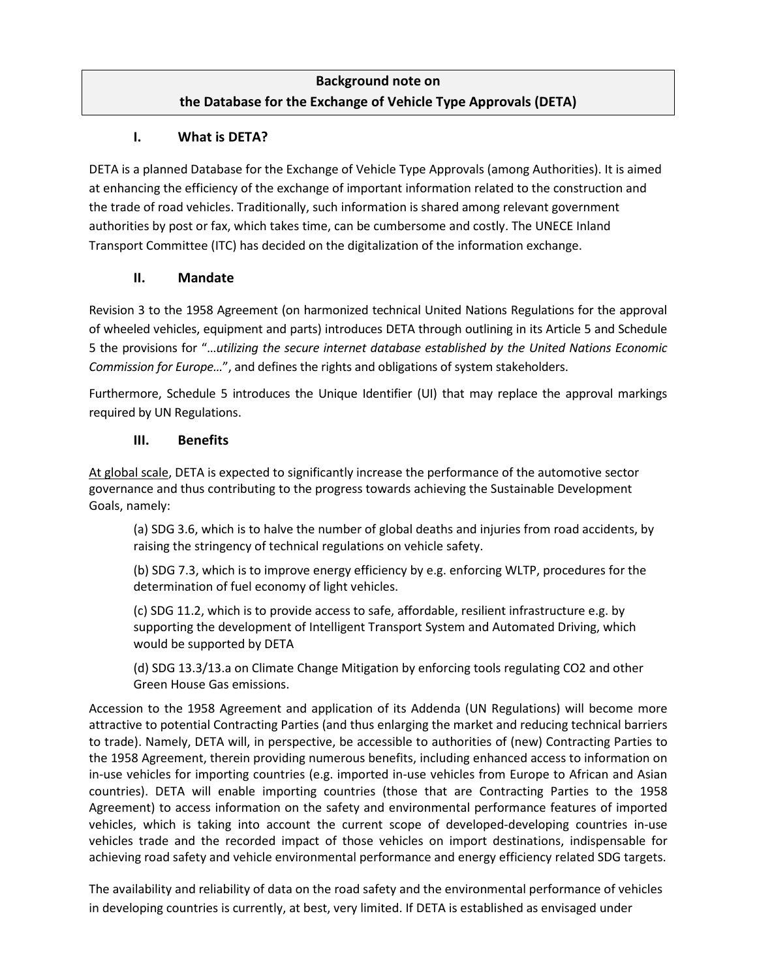# **Background note on the Database for the Exchange of Vehicle Type Approvals (DETA)**

## **I. What is DETA?**

DETA is a planned Database for the Exchange of Vehicle Type Approvals (among Authorities). It is aimed at enhancing the efficiency of the exchange of important information related to the construction and the trade of road vehicles. Traditionally, such information is shared among relevant government authorities by post or fax, which takes time, can be cumbersome and costly. The UNECE Inland Transport Committee (ITC) has decided on the digitalization of the information exchange.

#### **II. Mandate**

Revision 3 to the 1958 Agreement (on harmonized technical United Nations Regulations for the approval of wheeled vehicles, equipment and parts) introduces DETA through outlining in its Article 5 and Schedule 5 the provisions for "…*utilizing the secure internet database established by the United Nations Economic Commission for Europe…*", and defines the rights and obligations of system stakeholders.

Furthermore, Schedule 5 introduces the Unique Identifier (UI) that may replace the approval markings required by UN Regulations.

### **III. Benefits**

At global scale, DETA is expected to significantly increase the performance of the automotive sector governance and thus contributing to the progress towards achieving the Sustainable Development Goals, namely:

(a) SDG 3.6, which is to halve the number of global deaths and injuries from road accidents, by raising the stringency of technical regulations on vehicle safety.

(b) SDG 7.3, which is to improve energy efficiency by e.g. enforcing WLTP, procedures for the determination of fuel economy of light vehicles.

(c) SDG 11.2, which is to provide access to safe, affordable, resilient infrastructure e.g. by supporting the development of Intelligent Transport System and Automated Driving, which would be supported by DETA

(d) SDG 13.3/13.a on Climate Change Mitigation by enforcing tools regulating CO2 and other Green House Gas emissions.

Accession to the 1958 Agreement and application of its Addenda (UN Regulations) will become more attractive to potential Contracting Parties (and thus enlarging the market and reducing technical barriers to trade). Namely, DETA will, in perspective, be accessible to authorities of (new) Contracting Parties to the 1958 Agreement, therein providing numerous benefits, including enhanced access to information on in-use vehicles for importing countries (e.g. imported in-use vehicles from Europe to African and Asian countries). DETA will enable importing countries (those that are Contracting Parties to the 1958 Agreement) to access information on the safety and environmental performance features of imported vehicles, which is taking into account the current scope of developed-developing countries in-use vehicles trade and the recorded impact of those vehicles on import destinations, indispensable for achieving road safety and vehicle environmental performance and energy efficiency related SDG targets.

The availability and reliability of data on the road safety and the environmental performance of vehicles in developing countries is currently, at best, very limited. If DETA is established as envisaged under